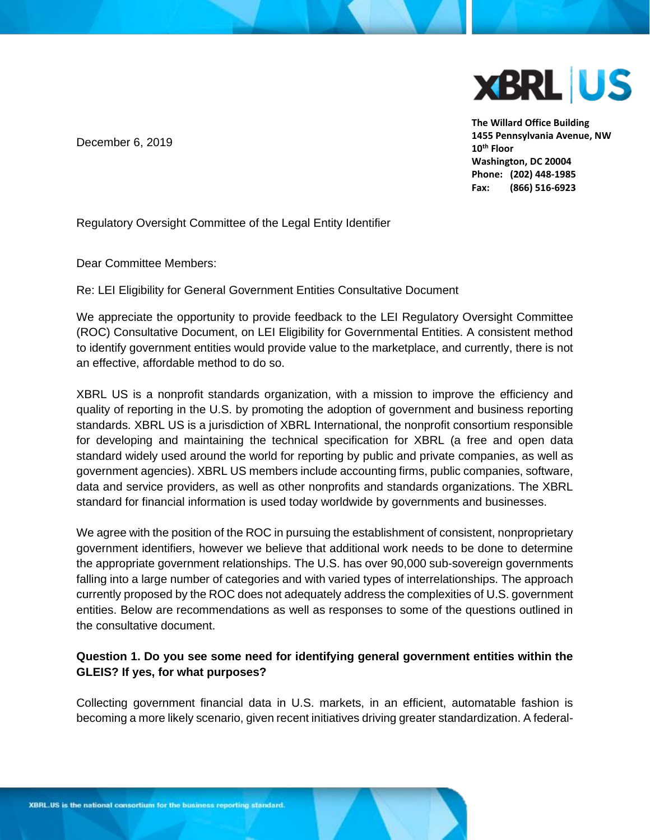

**The Willard Office Building 1455 Pennsylvania Avenue, NW 10th Floor Washington, DC 20004 Phone: (202) 448-1985 Fax: (866) 516-6923**

December 6, 2019

Regulatory Oversight Committee of the Legal Entity Identifier

Dear Committee Members:

Re: LEI Eligibility for General Government Entities Consultative Document

We appreciate the opportunity to provide feedback to the LEI Regulatory Oversight Committee (ROC) Consultative Document, on LEI Eligibility for Governmental Entities. A consistent method to identify government entities would provide value to the marketplace, and currently, there is not an effective, affordable method to do so.

XBRL US is a nonprofit standards organization, with a mission to improve the efficiency and quality of reporting in the U.S. by promoting the adoption of government and business reporting standards. XBRL US is a jurisdiction of XBRL International, the nonprofit consortium responsible for developing and maintaining the technical specification for XBRL (a free and open data standard widely used around the world for reporting by public and private companies, as well as government agencies). XBRL US members include accounting firms, public companies, software, data and service providers, as well as other nonprofits and standards organizations. The XBRL standard for financial information is used today worldwide by governments and businesses.

We agree with the position of the ROC in pursuing the establishment of consistent, nonproprietary government identifiers, however we believe that additional work needs to be done to determine the appropriate government relationships. The U.S. has over 90,000 sub-sovereign governments falling into a large number of categories and with varied types of interrelationships. The approach currently proposed by the ROC does not adequately address the complexities of U.S. government entities. Below are recommendations as well as responses to some of the questions outlined in the consultative document.

# **Question 1. Do you see some need for identifying general government entities within the GLEIS? If yes, for what purposes?**

Collecting government financial data in U.S. markets, in an efficient, automatable fashion is becoming a more likely scenario, given recent initiatives driving greater standardization. A federal-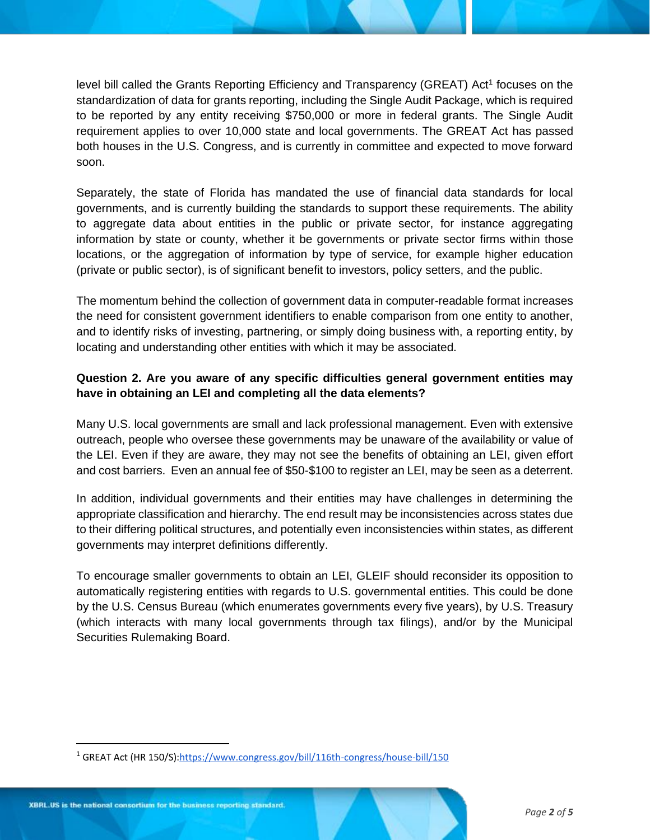level bill called the Grants Reporting Efficiency and Transparency (GREAT) Act<sup>1</sup> focuses on the standardization of data for grants reporting, including the Single Audit Package, which is required to be reported by any entity receiving \$750,000 or more in federal grants. The Single Audit requirement applies to over 10,000 state and local governments. The GREAT Act has passed both houses in the U.S. Congress, and is currently in committee and expected to move forward soon.

Separately, the state of Florida has mandated the use of financial data standards for local governments, and is currently building the standards to support these requirements. The ability to aggregate data about entities in the public or private sector, for instance aggregating information by state or county, whether it be governments or private sector firms within those locations, or the aggregation of information by type of service, for example higher education (private or public sector), is of significant benefit to investors, policy setters, and the public.

The momentum behind the collection of government data in computer-readable format increases the need for consistent government identifiers to enable comparison from one entity to another, and to identify risks of investing, partnering, or simply doing business with, a reporting entity, by locating and understanding other entities with which it may be associated.

# **Question 2. Are you aware of any specific difficulties general government entities may have in obtaining an LEI and completing all the data elements?**

Many U.S. local governments are small and lack professional management. Even with extensive outreach, people who oversee these governments may be unaware of the availability or value of the LEI. Even if they are aware, they may not see the benefits of obtaining an LEI, given effort and cost barriers. Even an annual fee of \$50-\$100 to register an LEI, may be seen as a deterrent.

In addition, individual governments and their entities may have challenges in determining the appropriate classification and hierarchy. The end result may be inconsistencies across states due to their differing political structures, and potentially even inconsistencies within states, as different governments may interpret definitions differently.

To encourage smaller governments to obtain an LEI, GLEIF should reconsider its opposition to automatically registering entities with regards to U.S. governmental entities. This could be done by the U.S. Census Bureau (which enumerates governments every five years), by U.S. Treasury (which interacts with many local governments through tax filings), and/or by the Municipal Securities Rulemaking Board.

<sup>1</sup> GREAT Act (HR 150/S)[:https://www.congress.gov/bill/116th-congress/house-bill/150](https://www.congress.gov/bill/116th-congress/house-bill/150)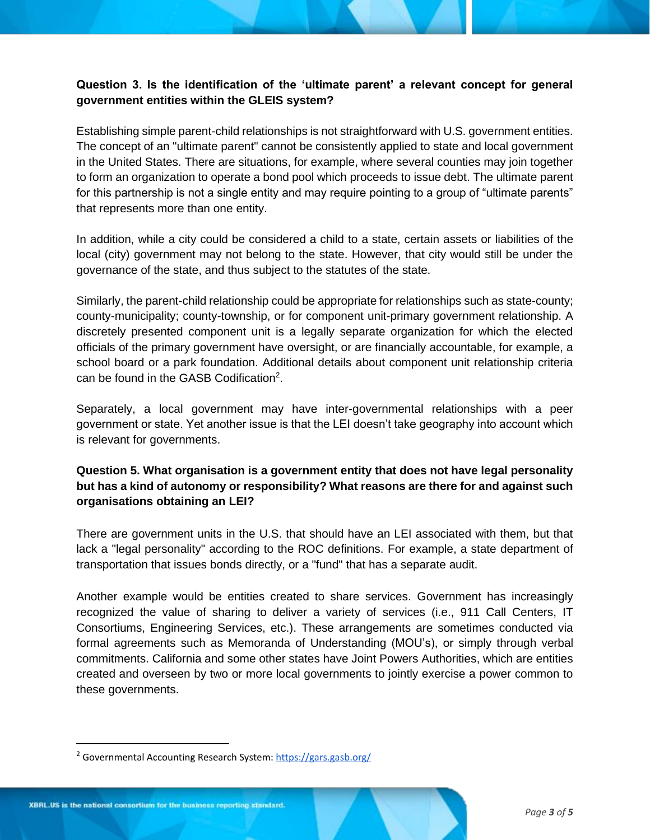## **Question 3. Is the identification of the 'ultimate parent' a relevant concept for general government entities within the GLEIS system?**

Establishing simple parent-child relationships is not straightforward with U.S. government entities. The concept of an "ultimate parent" cannot be consistently applied to state and local government in the United States. There are situations, for example, where several counties may join together to form an organization to operate a bond pool which proceeds to issue debt. The ultimate parent for this partnership is not a single entity and may require pointing to a group of "ultimate parents" that represents more than one entity.

In addition, while a city could be considered a child to a state, certain assets or liabilities of the local (city) government may not belong to the state. However, that city would still be under the governance of the state, and thus subject to the statutes of the state.

Similarly, the parent-child relationship could be appropriate for relationships such as state-county; county-municipality; county-township, or for component unit-primary government relationship. A discretely presented component unit is a legally separate organization for which the elected officials of the primary government have oversight, or are financially accountable, for example, a school board or a park foundation. Additional details about component unit relationship criteria can be found in the GASB Codification<sup>2</sup>.

Separately, a local government may have inter-governmental relationships with a peer government or state. Yet another issue is that the LEI doesn't take geography into account which is relevant for governments.

# **Question 5. What organisation is a government entity that does not have legal personality but has a kind of autonomy or responsibility? What reasons are there for and against such organisations obtaining an LEI?**

There are government units in the U.S. that should have an LEI associated with them, but that lack a "legal personality" according to the ROC definitions. For example, a state department of transportation that issues bonds directly, or a "fund" that has a separate audit.

Another example would be entities created to share services. Government has increasingly recognized the value of sharing to deliver a variety of services (i.e., 911 Call Centers, IT Consortiums, Engineering Services, etc.). These arrangements are sometimes conducted via formal agreements such as Memoranda of Understanding (MOU's), or simply through verbal commitments. California and some other states have Joint Powers Authorities, which are entities created and overseen by two or more local governments to jointly exercise a power common to these governments.

<sup>&</sup>lt;sup>2</sup> Governmental Accounting Research System:<https://gars.gasb.org/>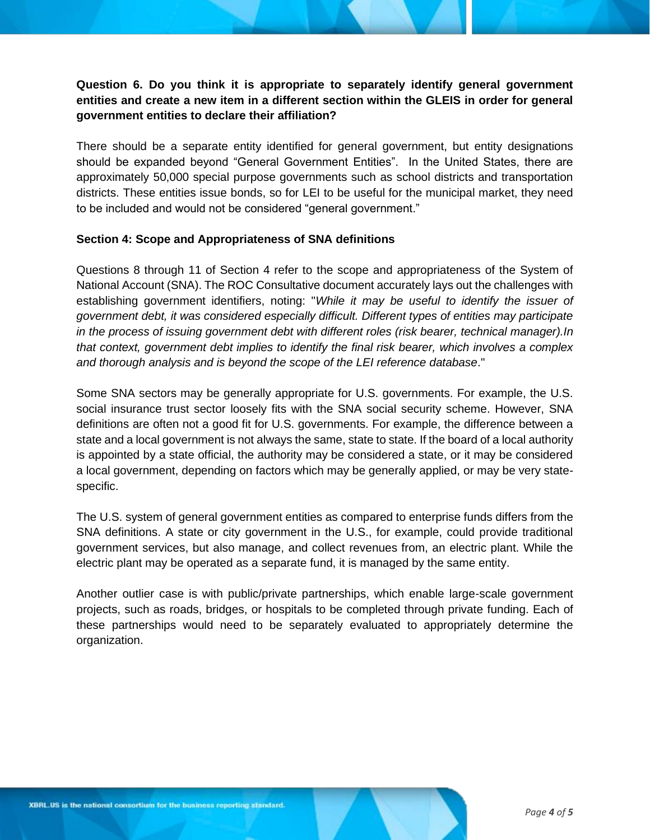## **Question 6. Do you think it is appropriate to separately identify general government entities and create a new item in a different section within the GLEIS in order for general government entities to declare their affiliation?**

There should be a separate entity identified for general government, but entity designations should be expanded beyond "General Government Entities". In the United States, there are approximately 50,000 special purpose governments such as school districts and transportation districts. These entities issue bonds, so for LEI to be useful for the municipal market, they need to be included and would not be considered "general government."

#### **Section 4: Scope and Appropriateness of SNA definitions**

Questions 8 through 11 of Section 4 refer to the scope and appropriateness of the System of National Account (SNA). The ROC Consultative document accurately lays out the challenges with establishing government identifiers, noting: "*While it may be useful to identify the issuer of government debt, it was considered especially difficult. Different types of entities may participate in the process of issuing government debt with different roles (risk bearer, technical manager).In that context, government debt implies to identify the final risk bearer, which involves a complex and thorough analysis and is beyond the scope of the LEI reference database*."

Some SNA sectors may be generally appropriate for U.S. governments. For example, the U.S. social insurance trust sector loosely fits with the SNA social security scheme. However, SNA definitions are often not a good fit for U.S. governments. For example, the difference between a state and a local government is not always the same, state to state. If the board of a local authority is appointed by a state official, the authority may be considered a state, or it may be considered a local government, depending on factors which may be generally applied, or may be very statespecific.

The U.S. system of general government entities as compared to enterprise funds differs from the SNA definitions. A state or city government in the U.S., for example, could provide traditional government services, but also manage, and collect revenues from, an electric plant. While the electric plant may be operated as a separate fund, it is managed by the same entity.

Another outlier case is with public/private partnerships, which enable large-scale government projects, such as roads, bridges, or hospitals to be completed through private funding. Each of these partnerships would need to be separately evaluated to appropriately determine the organization.